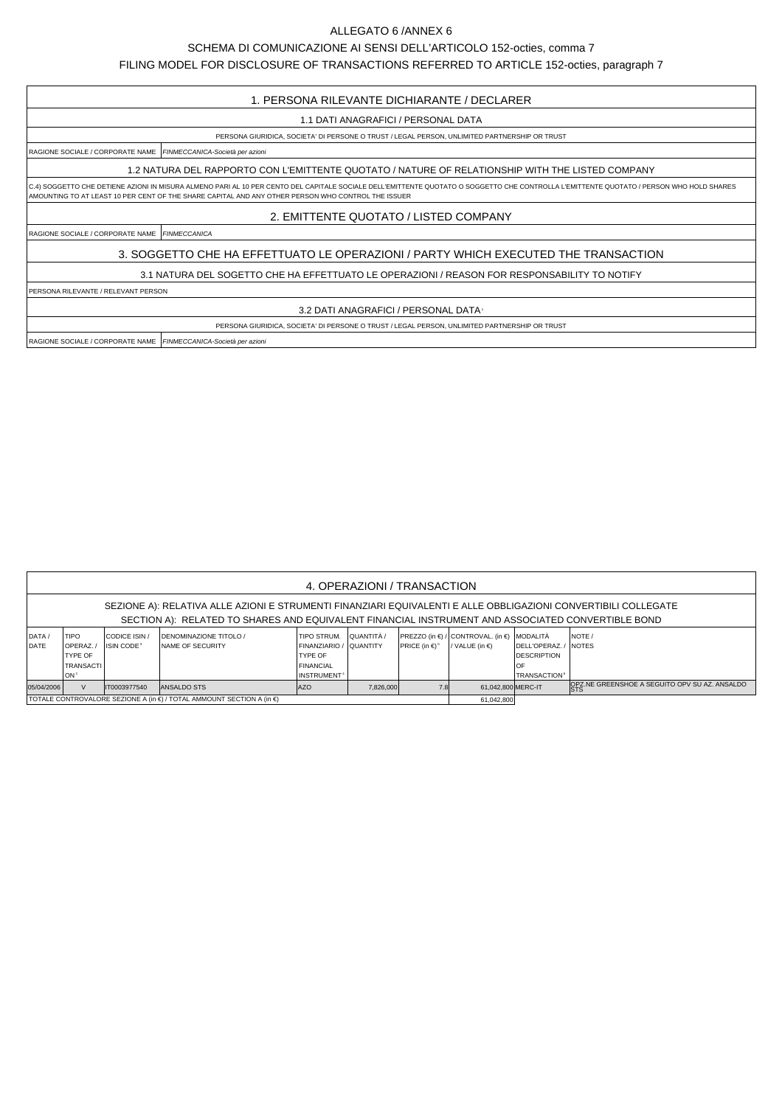## ALLEGATO 6 /ANNEX 6

## SCHEMA DI COMUNICAZIONE AI SENSI DELL'ARTICOLO 152-octies, comma 7

FILING MODEL FOR DISCLOSURE OF TRANSACTIONS REFERRED TO ARTICLE 152-octies, paragraph 7

## 1. PERSONA RILEVANTE DICHIARANTE / DECLARER

1.1 DATI ANAGRAFICI / PERSONAL DATA

PERSONA GIURIDICA, SOCIETA' DI PERSONE O TRUST / LEGAL PERSON, UNLIMITED PARTNERSHIP OR TRUST

RAGIONE SOCIALE / CORPORATE NAME FINMECCANICA-Società per azioni

1.2 NATURA DEL RAPPORTO CON L'EMITTENTE QUOTATO / NATURE OF RELATIONSHIP WITH THE LISTED COMPANY

C.4) SOGGETTO CHE DETIENE AZIONI IN MISURA ALMENO PARI AL 10 PER CENTO DEL CAPITALE SOCIALE DELL'EMITTENTE QUOTATO O SOGGETTO CHE CONTROLLA L'EMITTENTE QUOTATO / PERSON WHO HOLD SHARES AMOUNTING TO AT LEAST 10 PER CENT OF THE SHARE CAPITAL AND ANY OTHER PERSON WHO CONTROL THE ISSUER

2. EMITTENTE QUOTATO / LISTED COMPANY

RAGIONE SOCIALE / CORPORATE NAME FINMECCANICA

3. SOGGETTO CHE HA EFFETTUATO LE OPERAZIONI / PARTY WHICH EXECUTED THE TRANSACTION

3.1 NATURA DEL SOGETTO CHE HA EFFETTUATO LE OPERAZIONI / REASON FOR RESPONSABILITY TO NOTIFY

PERSONA RILEVANTE / RELEVANT PERSON

3.2 DATI ANAGRAFICI / PERSONAL DATA1

PERSONA GIURIDICA, SOCIETA' DI PERSONE O TRUST / LEGAL PERSON, UNLIMITED PARTNERSHIP OR TRUST

RAGIONE SOCIALE / CORPORATE NAME FINMECCANICA-Società per azioni

| 4. OPERAZIONI / TRANSACTION                                                                                                                                                                                         |                                                                            |                                               |                                                                                               |                                                                                                                    |           |                                |                                                                        |                                                                  |                                               |  |  |  |
|---------------------------------------------------------------------------------------------------------------------------------------------------------------------------------------------------------------------|----------------------------------------------------------------------------|-----------------------------------------------|-----------------------------------------------------------------------------------------------|--------------------------------------------------------------------------------------------------------------------|-----------|--------------------------------|------------------------------------------------------------------------|------------------------------------------------------------------|-----------------------------------------------|--|--|--|
| SEZIONE A): RELATIVA ALLE AZIONI E STRUMENTI FINANZIARI EQUIVALENTI E ALLE OBBLIGAZIONI CONVERTIBILI COLLEGATE<br>SECTION A): RELATED TO SHARES AND EQUIVALENT FINANCIAL INSTRUMENT AND ASSOCIATED CONVERTIBLE BOND |                                                                            |                                               |                                                                                               |                                                                                                                    |           |                                |                                                                        |                                                                  |                                               |  |  |  |
| DATA /<br>DATE                                                                                                                                                                                                      | <b>ITIPO</b><br>OPERAZ.<br>TYPE OF<br><b>TRANSACTI</b><br>ION <sup>2</sup> | CODICE ISIN /<br><b>ISIN CODE<sup>3</sup></b> | <b>IDENOMINAZIONE TITOLO /</b><br><b>INAME OF SECURITY</b>                                    | TIPO STRUM. LQUANTITÀ /<br>FINANZIARIO / QUANTITY<br><b>TYPE OF</b><br><b>FINANCIAL</b><br>INSTRUMENT <sup>4</sup> |           | PRICE (in $\in$ ) <sup>5</sup> | PREZZO (in €) / CONTROVAL. (in €) MODALITÀ<br>/ VALUE (in $\epsilon$ ) | DELL'OPERAZ./<br><b>DESCRIPTION</b><br>.OF<br><b>TRANSACTION</b> | <b>NOTE</b><br>INOTES                         |  |  |  |
| 05/04/2006                                                                                                                                                                                                          | $\vee$                                                                     | IT0003977540                                  | <b>ANSALDO STS</b><br>İ TOTALE CONTROVALORE SEZIONE A (in €) / TOTAL AMMOUNT SECTION A (in €) | <b>AZO</b>                                                                                                         | 7,826,000 | 7.8                            | 61.042.800 MERC-IT<br>61,042,800                                       |                                                                  | OPZ.NE GREENSHOE A SEGUITO OPV SU AZ. ANSALDO |  |  |  |